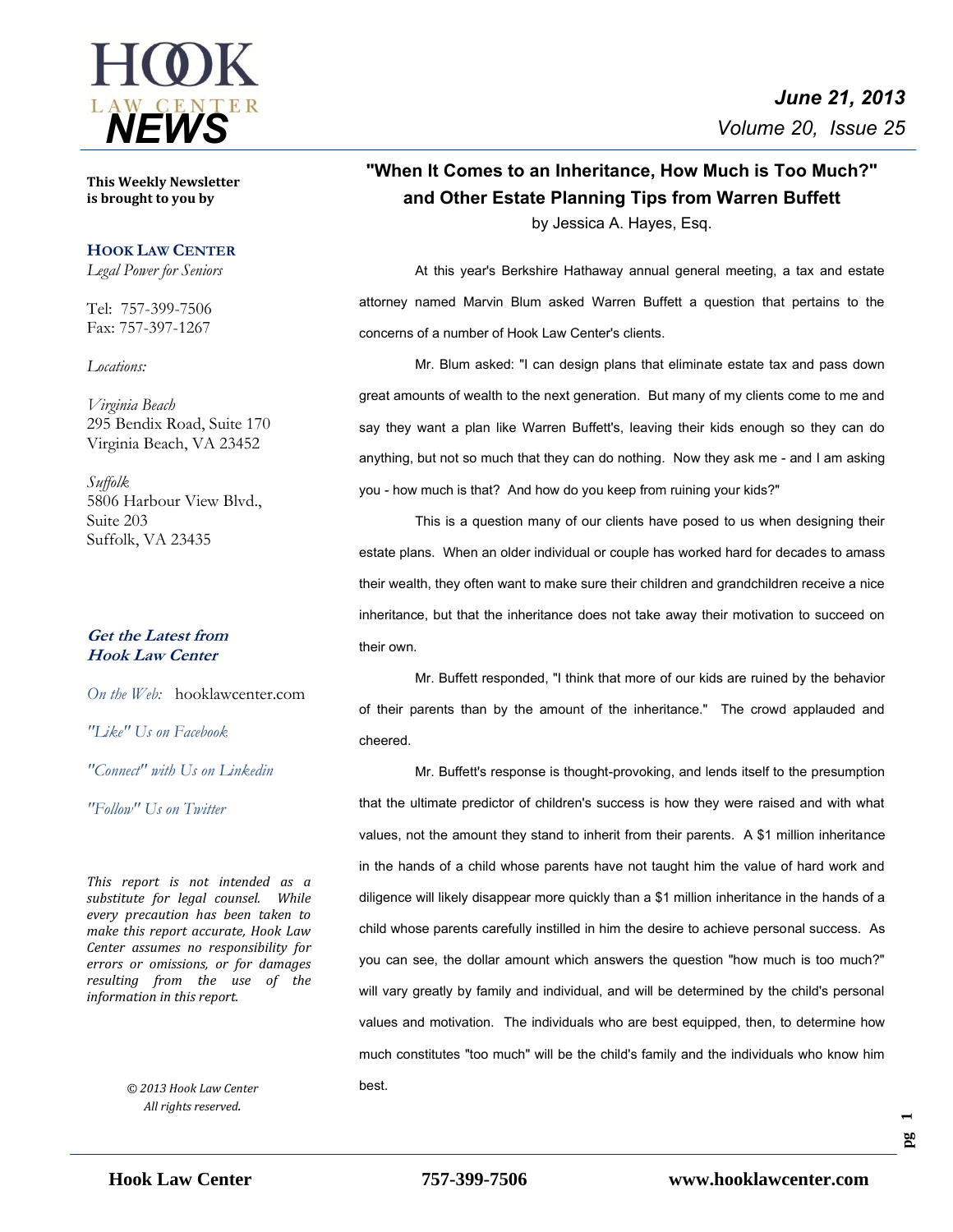

**This Weekly Newsletter is brought to you by** 

#### **HOOK LAW CENTER**

*Legal Power for Seniors*

Tel: 757-399-7506 Fax: 757-397-1267

*Locations:*

*Virginia Beach* 295 Bendix Road, Suite 170 Virginia Beach, VA 23452

*Suffolk* 5806 Harbour View Blvd., Suite 203 Suffolk, VA 23435

#### **Get the Latest from Hook Law Center**

*On the Web:* [hooklawcenter.com](http://www.hooklawcenter.com/)

*"Like" Us on Facebook*

*"Connect" with Us on Linkedin*

*NEWS "Follow" Us on Twitter*

*This report is not intended as a substitute for legal counsel. While every precaution has been taken to make this report accurate, Hook Law Center assumes no responsibility for errors or omissions, or for damages resulting from the use of the information in this report.*

> *© 2013 Hook Law Center All rights reserved.*

## **"When It Comes to an Inheritance, How Much is Too Much?" and Other Estate Planning Tips from Warren Buffett** by Jessica A. Hayes, Esq.

At this year's Berkshire Hathaway annual general meeting, a tax and estate attorney named Marvin Blum asked Warren Buffett a question that pertains to the concerns of a number of Hook Law Center's clients.

Mr. Blum asked: "I can design plans that eliminate estate tax and pass down great amounts of wealth to the next generation. But many of my clients come to me and say they want a plan like Warren Buffett's, leaving their kids enough so they can do anything, but not so much that they can do nothing. Now they ask me - and I am asking you - how much is that? And how do you keep from ruining your kids?"

This is a question many of our clients have posed to us when designing their estate plans. When an older individual or couple has worked hard for decades to amass their wealth, they often want to make sure their children and grandchildren receive a nice inheritance, but that the inheritance does not take away their motivation to succeed on their own.

Mr. Buffett responded, "I think that more of our kids are ruined by the behavior of their parents than by the amount of the inheritance." The crowd applauded and cheered.

Mr. Buffett's response is thought-provoking, and lends itself to the presumption that the ultimate predictor of children's success is how they were raised and with what values, not the amount they stand to inherit from their parents. A \$1 million inheritance in the hands of a child whose parents have not taught him the value of hard work and diligence will likely disappear more quickly than a \$1 million inheritance in the hands of a child whose parents carefully instilled in him the desire to achieve personal success. As you can see, the dollar amount which answers the question "how much is too much?" will vary greatly by family and individual, and will be determined by the child's personal values and motivation. The individuals who are best equipped, then, to determine how much constitutes "too much" will be the child's family and the individuals who know him best.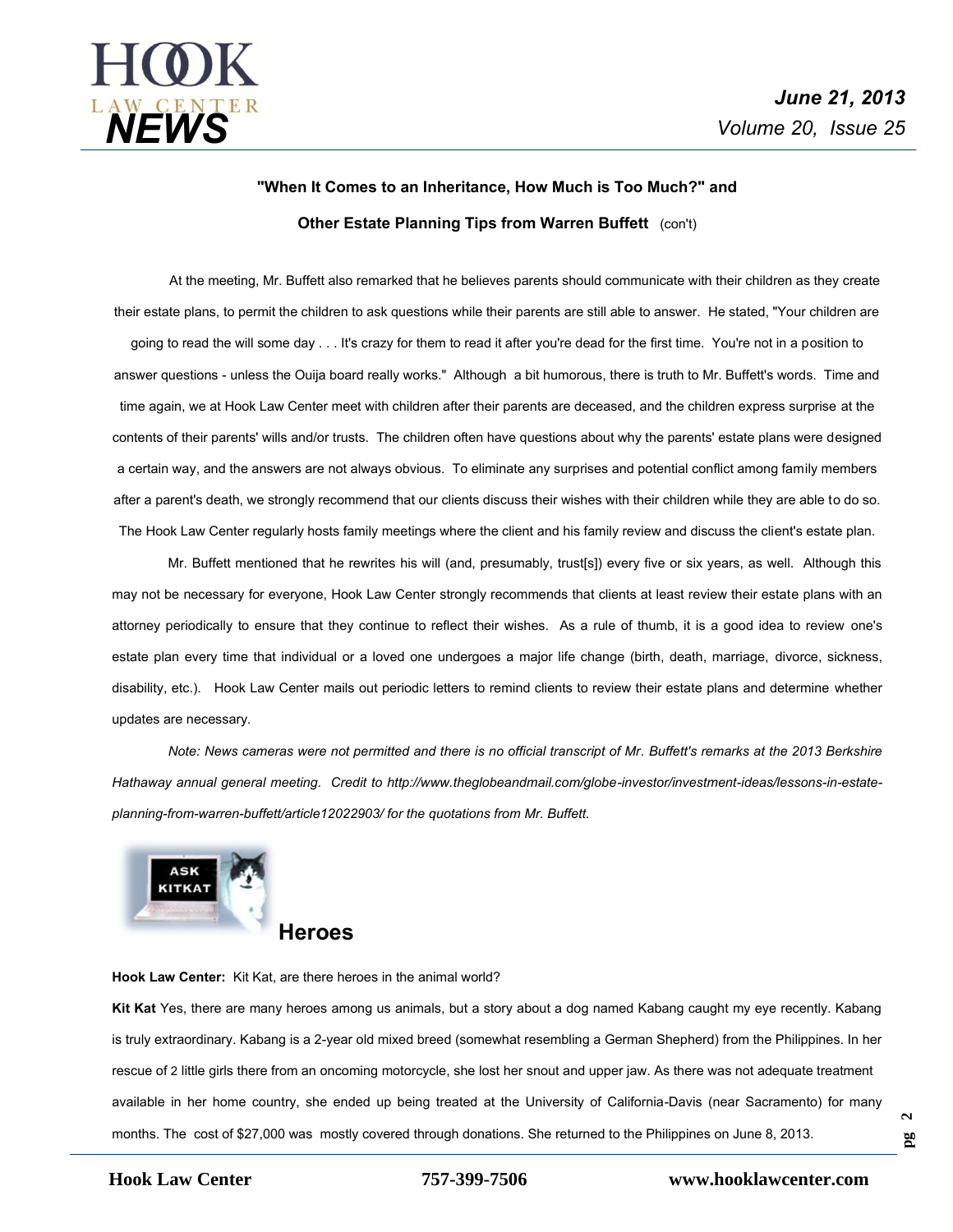

# **"When It Comes to an Inheritance, How Much is Too Much?" and Other Estate Planning Tips from Warren Buffett** (con't)

At the meeting, Mr. Buffett also remarked that he believes parents should communicate with their children as they create their estate plans, to permit the children to ask questions while their parents are still able to answer. He stated, "Your children are going to read the will some day . . . It's crazy for them to read it after you're dead for the first time. You're not in a position to answer questions - unless the Ouija board really works." Although a bit humorous, there is truth to Mr. Buffett's words. Time and time again, we at Hook Law Center meet with children after their parents are deceased, and the children express surprise at the contents of their parents' wills and/or trusts. The children often have questions about why the parents' estate plans were designed a certain way, and the answers are not always obvious. To eliminate any surprises and potential conflict among family members after a parent's death, we strongly recommend that our clients discuss their wishes with their children while they are able to do so. The Hook Law Center regularly hosts family meetings where the client and his family review and discuss the client's estate plan.

Mr. Buffett mentioned that he rewrites his will (and, presumably, trust[s]) every five or six years, as well. Although this may not be necessary for everyone, Hook Law Center strongly recommends that clients at least review their estate plans with an attorney periodically to ensure that they continue to reflect their wishes. As a rule of thumb, it is a good idea to review one's estate plan every time that individual or a loved one undergoes a major life change (birth, death, marriage, divorce, sickness, disability, etc.). Hook Law Center mails out periodic letters to remind clients to review their estate plans and determine whether updates are necessary.

*Note: News cameras were not permitted and there is no official transcript of Mr. Buffett's remarks at the 2013 Berkshire Hathaway annual general meeting. Credit to http://www.theglobeandmail.com/globe-investor/investment-ideas/lessons-in-estateplanning-from-warren-buffett/article12022903/ for the quotations from Mr. Buffett.* 



# **Heroes**

**Hook Law Center:** Kit Kat, are there heroes in the animal world?

**Kit Kat** Yes, there are many heroes among us animals, but a story about a dog named Kabang caught my eye recently. Kabang is truly extraordinary. Kabang is a 2-year old mixed breed (somewhat resembling a German Shepherd) from the Philippines. In her rescue of 2 little girls there from an oncoming motorcycle, she lost her snout and upper jaw. As there was not adequate treatment available in her home country, she ended up being treated at the University of California-Davis (near Sacramento) for many months. The cost of \$27,000 was mostly covered through donations. She returned to the Philippines on June 8, 2013.

**pg**   $\sim$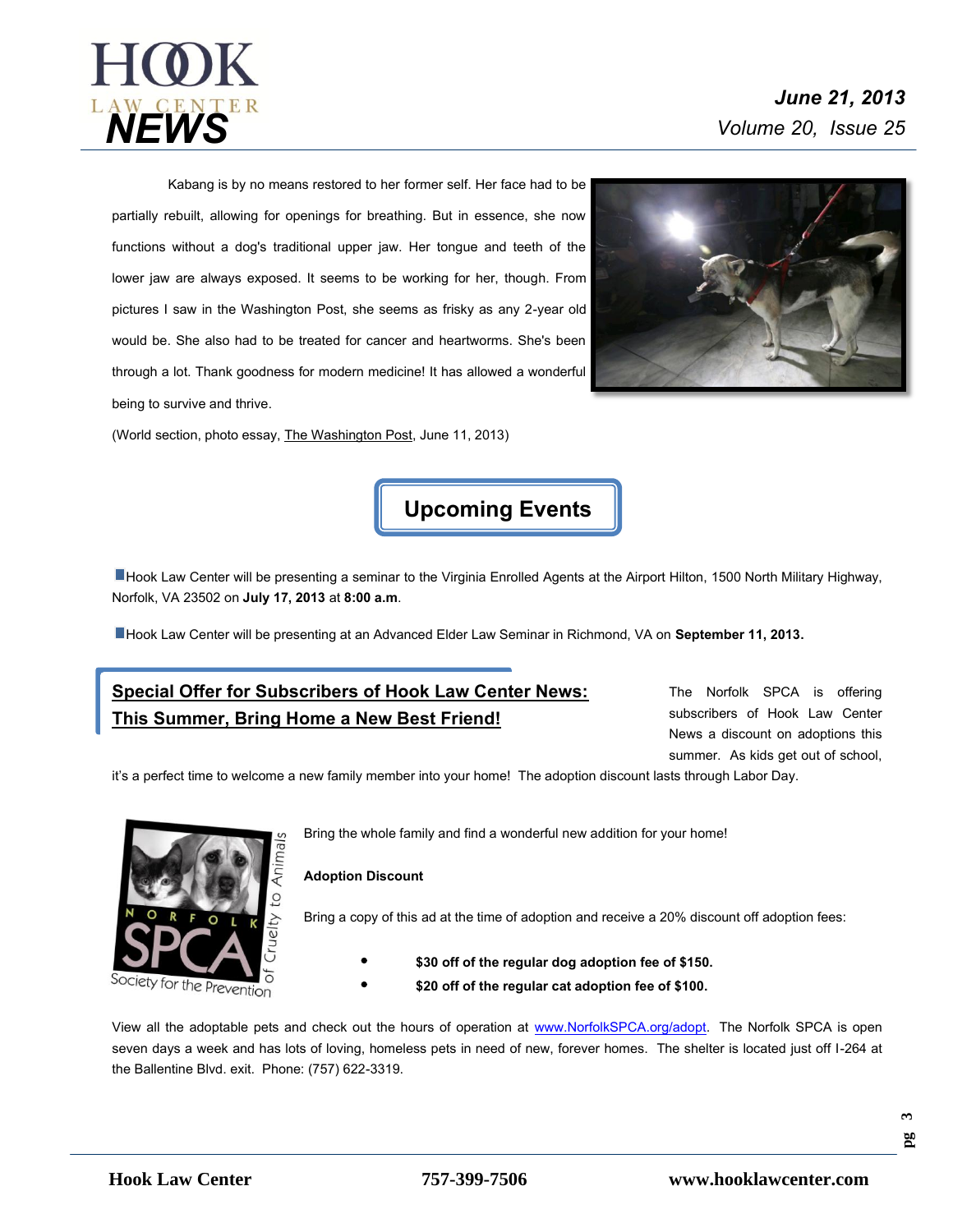

Kabang is by no means restored to her former self. Her face had to be partially rebuilt, allowing for openings for breathing. But in essence, she now functions without a dog's traditional upper jaw. Her tongue and teeth of the lower jaw are always exposed. It seems to be working for her, though. From pictures I saw in the Washington Post, she seems as frisky as any 2-year old would be. She also had to be treated for cancer and heartworms. She's been through a lot. Thank goodness for modern medicine! It has allowed a wonderful being to survive and thrive.

(World section, photo essay, The Washington Post, June 11, 2013)



**Upcoming Events**

Hook Law Center will be presenting a seminar to the Virginia Enrolled Agents at the Airport Hilton, 1500 North Military Highway, Norfolk, VA 23502 on **July 17, 2013** at **8:00 a.m**.

Hook Law Center will be presenting at an Advanced Elder Law Seminar in Richmond, VA on **September 11, 2013.**

## **Special Offer for Subscribers of Hook Law Center News: This Summer, Bring Home a New Best Friend!**

The Norfolk SPCA is offering subscribers of Hook Law Center News a discount on adoptions this summer. As kids get out of school,

it's a perfect time to welcome a new family member into your home! The adoption discount lasts through Labor Day.



Bring the whole family and find a wonderful new addition for your home!

#### **Adoption Discount**

Bring a copy of this ad at the time of adoption and receive a 20% discount off adoption fees:

- **\$30 off of the regular dog adoption fee of \$150.**
- **\$20 off of the regular cat adoption fee of \$100.**

View all the adoptable pets and check out the hours of operation at [www.NorfolkSPCA.org/adopt.](http://www.norfolkspca.org/adopt) The Norfolk SPCA is open seven days a week and has lots of loving, homeless pets in need of new, forever homes. The shelter is located just off I-264 at the Ballentine Blvd. exit. Phone: (757) 622-3319.